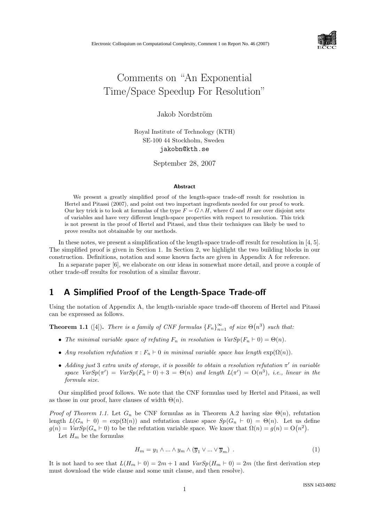

# Comments on "An Exponential Time/Space Speedup For Resolution"

Jakob Nordström

Royal Institute of Technology (KTH) SE-100 44 Stockholm, Sweden jakobn@kth.se

September 28, 2007

#### Abstract

We present a greatly simplified proof of the length-space trade-off result for resolution in Hertel and Pitassi (2007), and point out two important ingredients needed for our proof to work. Our key trick is to look at formulas of the type  $F = G \wedge H$ , where G and H are over disjoint sets of variables and have very different length-space properties with respect to resolution. This trick is not present in the proof of Hertel and Pitassi, and thus their techniques can likely be used to prove results not obtainable by our methods.

In these notes, we present a simplification of the length-space trade-off result for resolution in [4, 5]. The simplified proof is given in Section 1. In Section 2, we highlight the two building blocks in our construction. Definitions, notation and some known facts are given in Appendix A for reference.

In a separate paper [6], we elaborate on our ideas in somewhat more detail, and prove a couple of other trade-off results for resolution of a similar flavour.

# 1 A Simplified Proof of the Length-Space Trade-off

Using the notation of Appendix A, the length-variable space trade-off theorem of Hertel and Pitassi can be expressed as follows.

**Theorem 1.1** ([4]). There is a family of CNF formulas  ${F_n}_{n=1}^{\infty}$  of size  $\Theta(n^3)$  such that:

- The minimal variable space of refuting  $F_n$  in resolution is  $VarSp(F_n \vdash 0) = \Theta(n)$ .
- Any resolution refutation  $\pi : F_n \vdash 0$  in minimal variable space has length  $\exp(\Omega(n))$ .
- Adding just 3 extra units of storage, it is possible to obtain a resolution refutation  $\pi'$  in variable space  $VarSp(\pi') = VarSp(F_n \vdash 0) + 3 = \Theta(n)$  and length  $L(\pi') = O(n^3)$ , i.e., linear in the formula size.

Our simplified proof follows. We note that the CNF formulas used by Hertel and Pitassi, as well as those in our proof, have clauses of width  $\Theta(n)$ .

*Proof of Theorem 1.1.* Let  $G_n$  be CNF formulas as in Theorem A.2 having size  $\Theta(n)$ , refutation length  $L(G_n \vdash 0) = \exp(\Omega(n))$  and refutation clause space  $Sp(G_n \vdash 0) = \Theta(n)$ . Let us define  $g(n) = VarSp(G_n \vdash 0)$  to be the refutation variable space. We know that  $\Omega(n) = g(n) = O(n^2)$ . Let  $H_m$  be the formulas

$$
H_m = y_1 \wedge \ldots \wedge y_m \wedge (\overline{y}_1 \vee \ldots \vee \overline{y}_m) . \tag{1}
$$

It is not hard to see that  $L(H_m \vdash 0) = 2m + 1$  and  $VarSp(H_m \vdash 0) = 2m$  (the first derivation step must download the wide clause and some unit clause, and then resolve).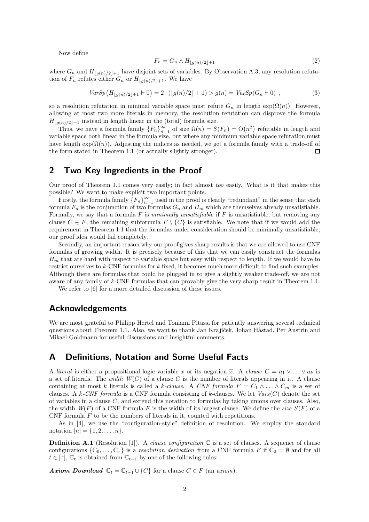Now define

$$
F_n = G_n \wedge H_{\lfloor g(n)/2 \rfloor + 1} \tag{2}
$$

where  $G_n$  and  $H_{\lfloor g(n)/2\rfloor+1}$  have disjoint sets of variables. By Observation A.3, any resolution refutation of  $F_n$  refutes either  $G_n$  or  $H_{\lfloor g(n)/2\rfloor+1}$ . We have

$$
VarSp(H_{\lfloor g(n)/2\rfloor+1} \vdash 0) = 2 \cdot (\lfloor g(n)/2\rfloor+1) > g(n) = VarSp(G_n \vdash 0) ,
$$
 (3)

so a resolution refutation in minimal variable space must refute  $G_n$  in length  $\exp(\Omega(n))$ . However, allowing at most two more literals in memory, the resolution refutation can disprove the formula  $H_{\lfloor g(n)/2\rfloor+1}$  instead in length linear in the (total) formula size.

Thus, we have a formula family  ${F_n}_{n=1}^{\infty}$  of size  $\Omega(n) = S(F_n) = O(n^2)$  refutable in length and variable space both linear in the formula size, but where any minimum variable space refutation must have length  $exp(\Omega(n))$ . Adjusting the indices as needed, we get a formula family with a trade-off of the form stated in Theorem 1.1 (or actually slightly stronger).  $\Box$ 

# 2 Two Key Ingredients in the Proof

Our proof of Theorem 1.1 comes very easily; in fact almost too easily. What is it that makes this possible? We want to make explicit two important points.

Firstly, the formula family  $\{F_n\}_{n=1}^{\infty}$  used in the proof is clearly "redundant" in the sense that each formula  $F_n$  is the conjunction of two formulas  $G_n$  and  $H_m$  which are themselves already unsatisfiable. Formally, we say that a formula  $F$  is minimally unsatisfiable if  $F$  is unsatisfiable, but removing any clause  $C \in F$ , the remaining subformula  $F \setminus \{C\}$  is satisfiable. We note that if we would add the requirement in Theorem 1.1 that the formulas under consideration should be minimally unsatisfiable, our proof idea would fail completely.

Secondly, an important reason why our proof gives sharp results is that we are allowed to use CNF formulas of growing width. It is precisely because of this that we can easily construct the formulas  $H_m$  that are hard with respect to variable space but easy with respect to length. If we would have to restrict ourselves to k-CNF formulas for k fixed, it becomes much more difficult to find such examples. Although there are formulas that could be plugged in to give a slightly weaker trade-off, we are not aware of any family of k-CNF formulas that can provably give the very sharp result in Theorem 1.1.

We refer to [6] for a more detailed discussion of these issues.

## Acknowledgements

We are most grateful to Philipp Hertel and Toniann Pitassi for patiently answering several technical questions about Theorem 1.1. Also, we want to thank Jan Krajíček, Johan Håstad, Per Austrin and Mikael Goldmann for useful discussions and insightful comments.

### A Definitions, Notation and Some Useful Facts

A literal is either a propositional logic variable x or its negation  $\overline{x}$ . A clause  $C = a_1 \vee \ldots \vee a_k$  is a set of literals. The *width*  $W(C)$  of a clause C is the number of literals appearing in it. A clause containing at most k literals is called a k-clause. A CNF formula  $F = C_1 \wedge ... \wedge C_m$  is a set of clauses. A k-CNF formula is a CNF formula consisting of k-clauses. We let  $Vars(C)$  denote the set of variables in a clause  $C$ , and extend this notation to formulas by taking unions over clauses. Also, the width  $W(F)$  of a CNF formula F is the width of its largest clause. We define the size  $S(F)$  of a CNF formula  $F$  to be the numbers of literals in it, counted with repetitions.

As in [4], we use the "configuration-style" definition of resolution. We employ the standard notation  $[n] = \{1, 2, ..., n\}.$ 

**Definition A.1** (Resolution [1]). A *clause configuration*  $\mathbb C$  is a set of clauses. A sequence of clause configurations  $\{\mathbb{C}_0,\ldots,\mathbb{C}_\tau\}$  is a resolution derivation from a CNF formula F if  $\mathbb{C}_0 = \emptyset$  and for all  $t \in [\tau], \mathbb{C}_t$  is obtained from  $\mathbb{C}_{t-1}$  by one of the following rules:

Axiom Download  $\mathbb{C}_t = \mathbb{C}_{t-1} \cup \{C\}$  for a clause  $C \in F$  (an axiom).